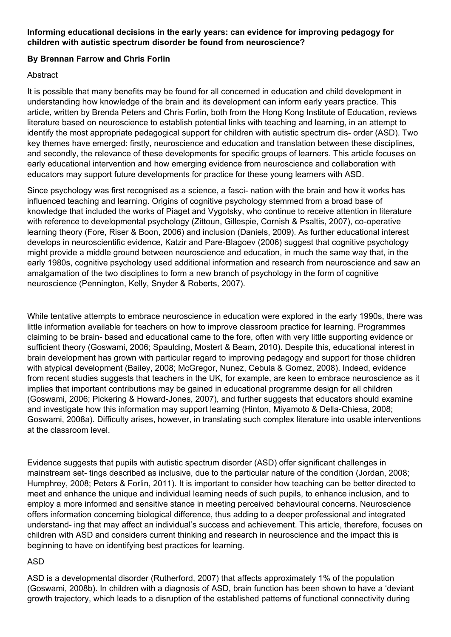#### **Informing educational decisions in the early years: can evidence for improving pedagogy for children with autistic spectrum disorder be found from neuroscience?**

### **By Brennan Farrow and Chris Forlin**

#### Abstract

It is possible that many benefits may be found for all concerned in education and child development in understanding how knowledge of the brain and its development can inform early years practice. This article, written by Brenda Peters and Chris Forlin, both from the Hong Kong Institute of Education, reviews literature based on neuroscience to establish potential links with teaching and learning, in an attempt to identify the most appropriate pedagogical support for children with autistic spectrum dis- order (ASD). Two key themes have emerged: firstly, neuroscience and education and translation between these disciplines, and secondly, the relevance of these developments for specific groups of learners. This article focuses on early educational intervention and how emerging evidence from neuroscience and collaboration with educators may support future developments for practice for these young learners with ASD.

Since psychology was first recognised as a science, a fasci- nation with the brain and how it works has influenced teaching and learning. Origins of cognitive psychology stemmed from a broad base of knowledge that included the works of Piaget and Vygotsky, who continue to receive attention in literature with reference to developmental psychology (Zittoun, Gillespie, Cornish & Psaltis, 2007), co-operative learning theory (Fore, Riser & Boon, 2006) and inclusion (Daniels, 2009). As further educational interest develops in neuroscientific evidence, Katzir and Pare-Blagoev (2006) suggest that cognitive psychology might provide a middle ground between neuroscience and education, in much the same way that, in the early 1980s, cognitive psychology used additional information and research from neuroscience and saw an amalgamation of the two disciplines to form a new branch of psychology in the form of cognitive neuroscience (Pennington, Kelly, Snyder & Roberts, 2007).

While tentative attempts to embrace neuroscience in education were explored in the early 1990s, there was little information available for teachers on how to improve classroom practice for learning. Programmes claiming to be brain- based and educational came to the fore, often with very little supporting evidence or sufficient theory (Goswami, 2006; Spaulding, Mostert & Beam, 2010). Despite this, educational interest in brain development has grown with particular regard to improving pedagogy and support for those children with atypical development (Bailey, 2008; McGregor, Nunez, Cebula & Gomez, 2008). Indeed, evidence from recent studies suggests that teachers in the UK, for example, are keen to embrace neuroscience as it implies that important contributions may be gained in educational programme design for all children (Goswami, 2006; Pickering & Howard-Jones, 2007), and further suggests that educators should examine and investigate how this information may support learning (Hinton, Miyamoto & Della-Chiesa, 2008; Goswami, 2008a). Difficulty arises, however, in translating such complex literature into usable interventions at the classroom level.

Evidence suggests that pupils with autistic spectrum disorder (ASD) offer significant challenges in mainstream set- tings described as inclusive, due to the particular nature of the condition (Jordan, 2008; Humphrey, 2008; Peters & Forlin, 2011). It is important to consider how teaching can be better directed to meet and enhance the unique and individual learning needs of such pupils, to enhance inclusion, and to employ a more informed and sensitive stance in meeting perceived behavioural concerns. Neuroscience offers information concerning biological difference, thus adding to a deeper professional and integrated understand- ing that may affect an individual's success and achievement. This article, therefore, focuses on children with ASD and considers current thinking and research in neuroscience and the impact this is beginning to have on identifying best practices for learning.

### ASD

ASD is a developmental disorder (Rutherford, 2007) that affects approximately 1% of the population (Goswami, 2008b). In children with a diagnosis of ASD, brain function has been shown to have a 'deviant growth trajectory, which leads to a disruption of the established patterns of functional connectivity during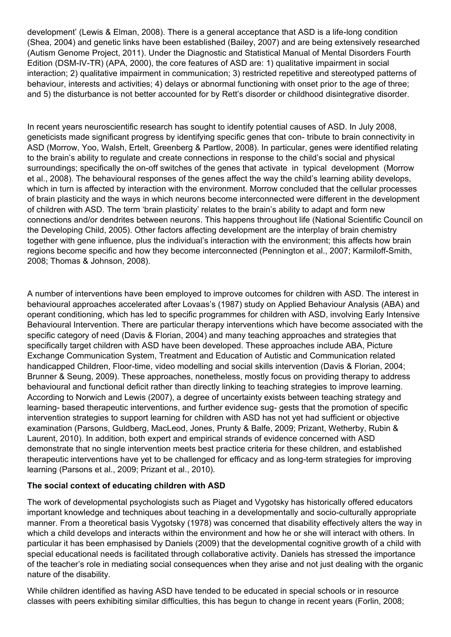development' (Lewis & Elman, 2008). There is a general acceptance that ASD is a life-long condition (Shea, 2004) and genetic links have been established (Bailey, 2007) and are being extensively researched (Autism Genome Project, 2011). Under the Diagnostic and Statistical Manual of Mental Disorders Fourth Edition (DSM-IV-TR) (APA, 2000), the core features of ASD are: 1) qualitative impairment in social interaction; 2) qualitative impairment in communication; 3) restricted repetitive and stereotyped patterns of behaviour, interests and activities; 4) delays or abnormal functioning with onset prior to the age of three; and 5) the disturbance is not better accounted for by Rett's disorder or childhood disintegrative disorder.

In recent years neuroscientific research has sought to identify potential causes of ASD. In July 2008, geneticists made significant progress by identifying specific genes that con- tribute to brain connectivity in ASD (Morrow, Yoo, Walsh, Ertelt, Greenberg & Partlow, 2008). In particular, genes were identified relating to the brain's ability to regulate and create connections in response to the child's social and physical surroundings; specifically the on-off switches of the genes that activate in typical development (Morrow et al., 2008). The behavioural responses of the genes affect the way the child's learning ability develops, which in turn is affected by interaction with the environment. Morrow concluded that the cellular processes of brain plasticity and the ways in which neurons become interconnected were different in the development of children with ASD. The term 'brain plasticity' relates to the brain's ability to adapt and form new connections and/or dendrites between neurons. This happens throughout life (National Scientific Council on the Developing Child, 2005). Other factors affecting development are the interplay of brain chemistry together with gene influence, plus the individual's interaction with the environment; this affects how brain regions become specific and how they become interconnected (Pennington et al., 2007; Karmiloff-Smith, 2008; Thomas & Johnson, 2008).

A number of interventions have been employed to improve outcomes for children with ASD. The interest in behavioural approaches accelerated after Lovaas's (1987) study on Applied Behaviour Analysis (ABA) and operant conditioning, which has led to specific programmes for children with ASD, involving Early Intensive Behavioural Intervention. There are particular therapy interventions which have become associated with the specific category of need (Davis & Florian, 2004) and many teaching approaches and strategies that specifically target children with ASD have been developed. These approaches include ABA, Picture Exchange Communication System, Treatment and Education of Autistic and Communication related handicapped Children, Floor-time, video modelling and social skills intervention (Davis & Florian, 2004; Brunner & Seung, 2009). These approaches, nonetheless, mostly focus on providing therapy to address behavioural and functional deficit rather than directly linking to teaching strategies to improve learning. According to Norwich and Lewis (2007), a degree of uncertainty exists between teaching strategy and learning- based therapeutic interventions, and further evidence sug- gests that the promotion of specific intervention strategies to support learning for children with ASD has not yet had sufficient or objective examination (Parsons, Guldberg, MacLeod, Jones, Prunty & Balfe, 2009; Prizant, Wetherby, Rubin & Laurent, 2010). In addition, both expert and empirical strands of evidence concerned with ASD demonstrate that no single intervention meets best practice criteria for these children, and established therapeutic interventions have yet to be challenged for efficacy and as long-term strategies for improving learning (Parsons et al., 2009; Prizant et al., 2010).

### **The social context of educating children with ASD**

The work of developmental psychologists such as Piaget and Vygotsky has historically offered educators important knowledge and techniques about teaching in a developmentally and socio-culturally appropriate manner. From a theoretical basis Vygotsky (1978) was concerned that disability effectively alters the way in which a child develops and interacts within the environment and how he or she will interact with others. In particular it has been emphasised by Daniels (2009) that the developmental cognitive growth of a child with special educational needs is facilitated through collaborative activity. Daniels has stressed the importance of the teacher's role in mediating social consequences when they arise and not just dealing with the organic nature of the disability.

While children identified as having ASD have tended to be educated in special schools or in resource classes with peers exhibiting similar difficulties, this has begun to change in recent years (Forlin, 2008;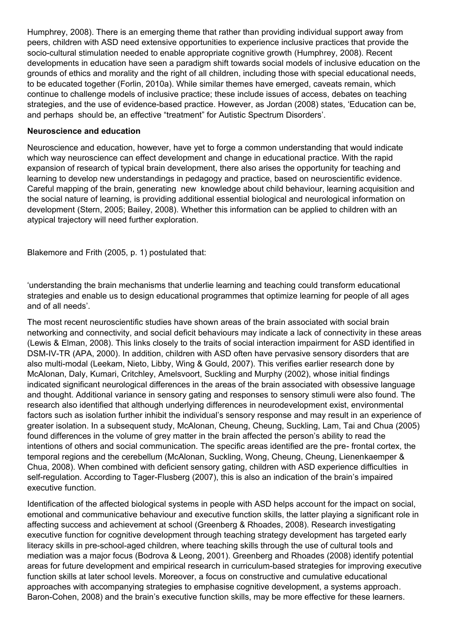Humphrey, 2008). There is an emerging theme that rather than providing individual support away from peers, children with ASD need extensive opportunities to experience inclusive practices that provide the socio-cultural stimulation needed to enable appropriate cognitive growth (Humphrey, 2008). Recent developments in education have seen a paradigm shift towards social models of inclusive education on the grounds of ethics and morality and the right of all children, including those with special educational needs, to be educated together (Forlin, 2010a). While similar themes have emerged, caveats remain, which continue to challenge models of inclusive practice; these include issues of access, debates on teaching strategies, and the use of evidence-based practice. However, as Jordan (2008) states, 'Education can be, and perhaps should be, an effective "treatment" for Autistic Spectrum Disorders'.

#### **Neuroscience and education**

Neuroscience and education, however, have yet to forge a common understanding that would indicate which way neuroscience can effect development and change in educational practice. With the rapid expansion of research of typical brain development, there also arises the opportunity for teaching and learning to develop new understandings in pedagogy and practice, based on neuroscientific evidence. Careful mapping of the brain, generating new knowledge about child behaviour, learning acquisition and the social nature of learning, is providing additional essential biological and neurological information on development (Stern, 2005; Bailey, 2008). Whether this information can be applied to children with an atypical trajectory will need further exploration.

Blakemore and Frith (2005, p. 1) postulated that:

'understanding the brain mechanisms that underlie learning and teaching could transform educational strategies and enable us to design educational programmes that optimize learning for people of all ages and of all needs'.

The most recent neuroscientific studies have shown areas of the brain associated with social brain networking and connectivity, and social deficit behaviours may indicate a lack of connectivity in these areas (Lewis & Elman, 2008). This links closely to the traits of social interaction impairment for ASD identified in DSM-IV-TR (APA, 2000). In addition, children with ASD often have pervasive sensory disorders that are also multi-modal (Leekam, Nieto, Libby, Wing & Gould, 2007). This verifies earlier research done by McAlonan, Daly, Kumari, Critchley, Amelsvoort, Suckling and Murphy (2002), whose initial findings indicated significant neurological differences in the areas of the brain associated with obsessive language and thought. Additional variance in sensory gating and responses to sensory stimuli were also found. The research also identified that although underlying differences in neurodevelopment exist, environmental factors such as isolation further inhibit the individual's sensory response and may result in an experience of greater isolation. In a subsequent study, McAlonan, Cheung, Cheung, Suckling, Lam, Tai and Chua (2005) found differences in the volume of grey matter in the brain affected the person's ability to read the intentions of others and social communication. The specific areas identified are the pre- frontal cortex, the temporal regions and the cerebellum (McAlonan, Suckling, Wong, Cheung, Cheung, Lienenkaemper & Chua, 2008). When combined with deficient sensory gating, children with ASD experience difficulties in self-regulation. According to Tager-Flusberg (2007), this is also an indication of the brain's impaired executive function.

Identification of the affected biological systems in people with ASD helps account for the impact on social, emotional and communicative behaviour and executive function skills, the latter playing a significant role in affecting success and achievement at school (Greenberg & Rhoades, 2008). Research investigating executive function for cognitive development through teaching strategy development has targeted early literacy skills in pre-school-aged children, where teaching skills through the use of cultural tools and mediation was a major focus (Bodrova & Leong, 2001). Greenberg and Rhoades (2008) identify potential areas for future development and empirical research in curriculum-based strategies for improving executive function skills at later school levels. Moreover, a focus on constructive and cumulative educational approaches with accompanying strategies to emphasise cognitive development, a systems approach. Baron-Cohen, 2008) and the brain's executive function skills, may be more effective for these learners.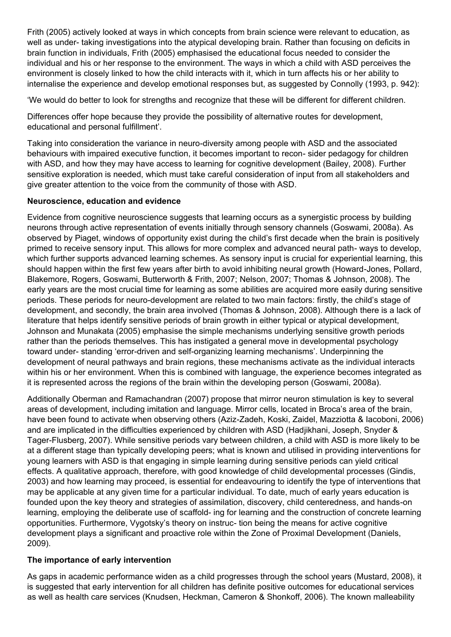Frith (2005) actively looked at ways in which concepts from brain science were relevant to education, as well as under- taking investigations into the atypical developing brain. Rather than focusing on deficits in brain function in individuals, Frith (2005) emphasised the educational focus needed to consider the individual and his or her response to the environment. The ways in which a child with ASD perceives the environment is closely linked to how the child interacts with it, which in turn affects his or her ability to internalise the experience and develop emotional responses but, as suggested by Connolly (1993, p. 942):

'We would do better to look for strengths and recognize that these will be different for different children.

Differences offer hope because they provide the possibility of alternative routes for development, educational and personal fulfillment'.

Taking into consideration the variance in neuro-diversity among people with ASD and the associated behaviours with impaired executive function, it becomes important to recon- sider pedagogy for children with ASD, and how they may have access to learning for cognitive development (Bailey, 2008). Further sensitive exploration is needed, which must take careful consideration of input from all stakeholders and give greater attention to the voice from the community of those with ASD.

### **Neuroscience, education and evidence**

Evidence from cognitive neuroscience suggests that learning occurs as a synergistic process by building neurons through active representation of events initially through sensory channels (Goswami, 2008a). As observed by Piaget, windows of opportunity exist during the child's first decade when the brain is positively primed to receive sensory input. This allows for more complex and advanced neural path- ways to develop, which further supports advanced learning schemes. As sensory input is crucial for experiential learning, this should happen within the first few years after birth to avoid inhibiting neural growth (Howard-Jones, Pollard, Blakemore, Rogers, Goswami, Butterworth & Frith, 2007; Nelson, 2007; Thomas & Johnson, 2008). The early years are the most crucial time for learning as some abilities are acquired more easily during sensitive periods. These periods for neuro-development are related to two main factors: firstly, the child's stage of development, and secondly, the brain area involved (Thomas & Johnson, 2008). Although there is a lack of literature that helps identify sensitive periods of brain growth in either typical or atypical development, Johnson and Munakata (2005) emphasise the simple mechanisms underlying sensitive growth periods rather than the periods themselves. This has instigated a general move in developmental psychology toward under- standing 'error-driven and self-organizing learning mechanisms'. Underpinning the development of neural pathways and brain regions, these mechanisms activate as the individual interacts within his or her environment. When this is combined with language, the experience becomes integrated as it is represented across the regions of the brain within the developing person (Goswami, 2008a).

Additionally Oberman and Ramachandran (2007) propose that mirror neuron stimulation is key to several areas of development, including imitation and language. Mirror cells, located in Broca's area of the brain, have been found to activate when observing others (Aziz-Zadeh, Koski, Zaidel, Mazziotta & Iacoboni, 2006) and are implicated in the difficulties experienced by children with ASD (Hadjikhani, Joseph, Snyder & Tager-Flusberg, 2007). While sensitive periods vary between children, a child with ASD is more likely to be at a different stage than typically developing peers; what is known and utilised in providing interventions for young learners with ASD is that engaging in simple learning during sensitive periods can yield critical effects. A qualitative approach, therefore, with good knowledge of child developmental processes (Gindis, 2003) and how learning may proceed, is essential for endeavouring to identify the type of interventions that may be applicable at any given time for a particular individual. To date, much of early years education is founded upon the key theory and strategies of assimilation, discovery, child centeredness, and hands-on learning, employing the deliberate use of scaffold- ing for learning and the construction of concrete learning opportunities. Furthermore, Vygotsky's theory on instruc- tion being the means for active cognitive development plays a significant and proactive role within the Zone of Proximal Development (Daniels, 2009).

## **The importance of early intervention**

As gaps in academic performance widen as a child progresses through the school years (Mustard, 2008), it is suggested that early intervention for all children has definite positive outcomes for educational services as well as health care services (Knudsen, Heckman, Cameron & Shonkoff, 2006). The known malleability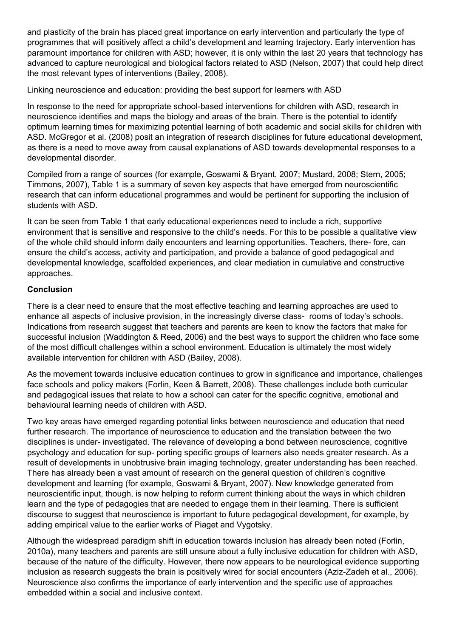and plasticity of the brain has placed great importance on early intervention and particularly the type of programmes that will positively affect a child's development and learning trajectory. Early intervention has paramount importance for children with ASD; however, it is only within the last 20 years that technology has advanced to capture neurological and biological factors related to ASD (Nelson, 2007) that could help direct the most relevant types of interventions (Bailey, 2008).

Linking neuroscience and education: providing the best support for learners with ASD

In response to the need for appropriate school-based interventions for children with ASD, research in neuroscience identifies and maps the biology and areas of the brain. There is the potential to identify optimum learning times for maximizing potential learning of both academic and social skills for children with ASD. McGregor et al. (2008) posit an integration of research disciplines for future educational development, as there is a need to move away from causal explanations of ASD towards developmental responses to a developmental disorder.

Compiled from a range of sources (for example, Goswami & Bryant, 2007; Mustard, 2008; Stern, 2005; Timmons, 2007), Table 1 is a summary of seven key aspects that have emerged from neuroscientific research that can inform educational programmes and would be pertinent for supporting the inclusion of students with ASD.

It can be seen from Table 1 that early educational experiences need to include a rich, supportive environment that is sensitive and responsive to the child's needs. For this to be possible a qualitative view of the whole child should inform daily encounters and learning opportunities. Teachers, there- fore, can ensure the child's access, activity and participation, and provide a balance of good pedagogical and developmental knowledge, scaffolded experiences, and clear mediation in cumulative and constructive approaches.

### **Conclusion**

There is a clear need to ensure that the most effective teaching and learning approaches are used to enhance all aspects of inclusive provision, in the increasingly diverse class- rooms of today's schools. Indications from research suggest that teachers and parents are keen to know the factors that make for successful inclusion (Waddington & Reed, 2006) and the best ways to support the children who face some of the most difficult challenges within a school environment. Education is ultimately the most widely available intervention for children with ASD (Bailey, 2008).

As the movement towards inclusive education continues to grow in significance and importance, challenges face schools and policy makers (Forlin, Keen & Barrett, 2008). These challenges include both curricular and pedagogical issues that relate to how a school can cater for the specific cognitive, emotional and behavioural learning needs of children with ASD.

Two key areas have emerged regarding potential links between neuroscience and education that need further research. The importance of neuroscience to education and the translation between the two disciplines is under- investigated. The relevance of developing a bond between neuroscience, cognitive psychology and education for sup- porting specific groups of learners also needs greater research. As a result of developments in unobtrusive brain imaging technology, greater understanding has been reached. There has already been a vast amount of research on the general question of children's cognitive development and learning (for example, Goswami & Bryant, 2007). New knowledge generated from neuroscientific input, though, is now helping to reform current thinking about the ways in which children learn and the type of pedagogies that are needed to engage them in their learning. There is sufficient discourse to suggest that neuroscience is important to future pedagogical development, for example, by adding empirical value to the earlier works of Piaget and Vygotsky.

Although the widespread paradigm shift in education towards inclusion has already been noted (Forlin, 2010a), many teachers and parents are still unsure about a fully inclusive education for children with ASD, because of the nature of the difficulty. However, there now appears to be neurological evidence supporting inclusion as research suggests the brain is positively wired for social encounters (Aziz-Zadeh et al., 2006). Neuroscience also confirms the importance of early intervention and the specific use of approaches embedded within a social and inclusive context.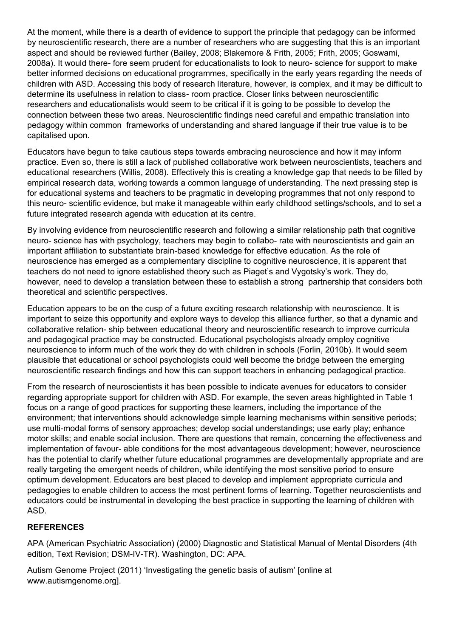At the moment, while there is a dearth of evidence to support the principle that pedagogy can be informed by neuroscientific research, there are a number of researchers who are suggesting that this is an important aspect and should be reviewed further (Bailey, 2008; Blakemore & Frith, 2005; Frith, 2005; Goswami, 2008a). It would there- fore seem prudent for educationalists to look to neuro- science for support to make better informed decisions on educational programmes, specifically in the early years regarding the needs of children with ASD. Accessing this body of research literature, however, is complex, and it may be difficult to determine its usefulness in relation to class- room practice. Closer links between neuroscientific researchers and educationalists would seem to be critical if it is going to be possible to develop the connection between these two areas. Neuroscientific findings need careful and empathic translation into pedagogy within common frameworks of understanding and shared language if their true value is to be capitalised upon.

Educators have begun to take cautious steps towards embracing neuroscience and how it may inform practice. Even so, there is still a lack of published collaborative work between neuroscientists, teachers and educational researchers (Willis, 2008). Effectively this is creating a knowledge gap that needs to be filled by empirical research data, working towards a common language of understanding. The next pressing step is for educational systems and teachers to be pragmatic in developing programmes that not only respond to this neuro- scientific evidence, but make it manageable within early childhood settings/schools, and to set a future integrated research agenda with education at its centre.

By involving evidence from neuroscientific research and following a similar relationship path that cognitive neuro- science has with psychology, teachers may begin to collabo- rate with neuroscientists and gain an important affiliation to substantiate brain-based knowledge for effective education. As the role of neuroscience has emerged as a complementary discipline to cognitive neuroscience, it is apparent that teachers do not need to ignore established theory such as Piaget's and Vygotsky's work. They do, however, need to develop a translation between these to establish a strong partnership that considers both theoretical and scientific perspectives.

Education appears to be on the cusp of a future exciting research relationship with neuroscience. It is important to seize this opportunity and explore ways to develop this alliance further, so that a dynamic and collaborative relation- ship between educational theory and neuroscientific research to improve curricula and pedagogical practice may be constructed. Educational psychologists already employ cognitive neuroscience to inform much of the work they do with children in schools (Forlin, 2010b). It would seem plausible that educational or school psychologists could well become the bridge between the emerging neuroscientific research findings and how this can support teachers in enhancing pedagogical practice.

From the research of neuroscientists it has been possible to indicate avenues for educators to consider regarding appropriate support for children with ASD. For example, the seven areas highlighted in Table 1 focus on a range of good practices for supporting these learners, including the importance of the environment; that interventions should acknowledge simple learning mechanisms within sensitive periods; use multi-modal forms of sensory approaches; develop social understandings; use early play; enhance motor skills; and enable social inclusion. There are questions that remain, concerning the effectiveness and implementation of favour- able conditions for the most advantageous development; however, neuroscience has the potential to clarify whether future educational programmes are developmentally appropriate and are really targeting the emergent needs of children, while identifying the most sensitive period to ensure optimum development. Educators are best placed to develop and implement appropriate curricula and pedagogies to enable children to access the most pertinent forms of learning. Together neuroscientists and educators could be instrumental in developing the best practice in supporting the learning of children with ASD.

### **REFERENCES**

APA (American Psychiatric Association) (2000) Diagnostic and Statistical Manual of Mental Disorders (4th edition, Text Revision; DSM-IV-TR). Washington, DC: APA.

Autism Genome Project (2011) 'Investigating the genetic basis of autism' [online at www.autismgenome.org].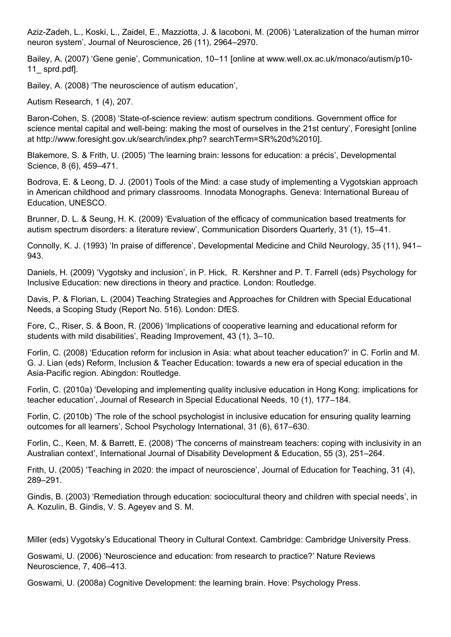Aziz-Zadeh, L., Koski, L., Zaidel, E., Mazziotta, J. & Iacoboni, M. (2006) 'Lateralization of the human mirror neuron system', Journal of Neuroscience, 26 (11), 2964–2970.

Bailey, A. (2007) 'Gene genie', Communication, 10–11 [online at www.well.ox.ac.uk/monaco/autism/p10-11\_ sprd.pdf].

Bailey, A. (2008) 'The neuroscience of autism education',

Autism Research, 1 (4), 207.

Baron-Cohen, S. (2008) 'State-of-science review: autism spectrum conditions. Government office for science mental capital and well-being: making the most of ourselves in the 21st century', Foresight [online at http://www.foresight.gov.uk/search/index.php? searchTerm=SR%20d%2010].

Blakemore, S. & Frith, U. (2005) 'The learning brain: lessons for education: a précis', Developmental Science, 8 (6), 459–471.

Bodrova, E. & Leong, D. J. (2001) Tools of the Mind: a case study of implementing a Vygotskian approach in American childhood and primary classrooms. Innodata Monographs. Geneva: International Bureau of Education, UNESCO.

Brunner, D. L. & Seung, H. K. (2009) 'Evaluation of the efficacy of communication based treatments for autism spectrum disorders: a literature review', Communication Disorders Quarterly, 31 (1), 15–41.

Connolly, K. J. (1993) 'In praise of difference', Developmental Medicine and Child Neurology, 35 (11), 941– 943.

Daniels, H. (2009) 'Vygotsky and inclusion', in P. Hick, R. Kershner and P. T. Farrell (eds) Psychology for Inclusive Education: new directions in theory and practice. London: Routledge.

Davis, P. & Florian, L. (2004) Teaching Strategies and Approaches for Children with Special Educational Needs, a Scoping Study (Report No. 516). London: DfES.

Fore, C., Riser, S. & Boon, R. (2006) 'Implications of cooperative learning and educational reform for students with mild disabilities', Reading Improvement, 43 (1), 3–10.

Forlin, C. (2008) 'Education reform for inclusion in Asia: what about teacher education?' in C. Forlin and M. G. J. Lian (eds) Reform, Inclusion & Teacher Education: towards a new era of special education in the Asia-Pacific region. Abingdon: Routledge.

Forlin, C. (2010a) 'Developing and implementing quality inclusive education in Hong Kong: implications for teacher education', Journal of Research in Special Educational Needs, 10 (1), 177–184.

Forlin, C. (2010b) 'The role of the school psychologist in inclusive education for ensuring quality learning outcomes for all learners', School Psychology International, 31 (6), 617–630.

Forlin, C., Keen, M. & Barrett, E. (2008) 'The concerns of mainstream teachers: coping with inclusivity in an Australian context', International Journal of Disability Development & Education, 55 (3), 251–264.

Frith, U. (2005) 'Teaching in 2020: the impact of neuroscience', Journal of Education for Teaching, 31 (4), 289–291.

Gindis, B. (2003) 'Remediation through education: sociocultural theory and children with special needs', in A. Kozulin, B. Gindis, V. S. Ageyev and S. M.

Miller (eds) Vygotsky's Educational Theory in Cultural Context. Cambridge: Cambridge University Press.

Goswami, U. (2006) 'Neuroscience and education: from research to practice?' Nature Reviews Neuroscience, 7, 406–413.

Goswami, U. (2008a) Cognitive Development: the learning brain. Hove: Psychology Press.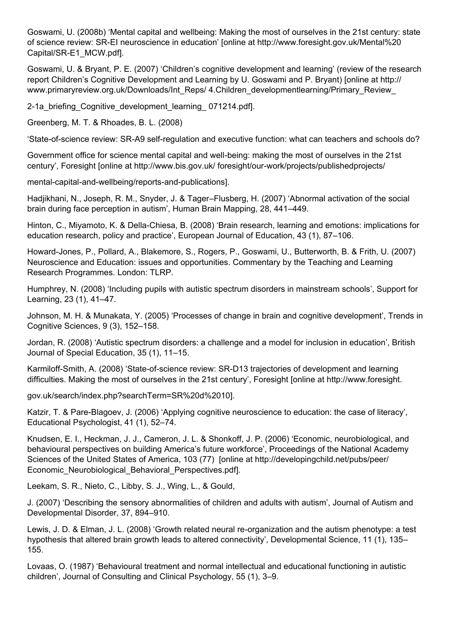Goswami, U. (2008b) 'Mental capital and wellbeing: Making the most of ourselves in the 21st century: state of science review: SR-EI neuroscience in education' [online at http://www.foresight.gov.uk/Mental%20 Capital/SR-E1\_MCW.pdf].

Goswami, U. & Bryant, P. E. (2007) 'Children's cognitive development and learning' (review of the research report Children's Cognitive Development and Learning by U. Goswami and P. Bryant) [online at http:// www.primaryreview.org.uk/Downloads/Int\_Reps/ 4.Children\_developmentlearning/Primary\_Review

2-1a briefing Cognitive development learning 071214.pdfl.

Greenberg, M. T. & Rhoades, B. L. (2008)

'State-of-science review: SR-A9 self-regulation and executive function: what can teachers and schools do?

Government office for science mental capital and well-being: making the most of ourselves in the 21st century', Foresight [online at http://www.bis.gov.uk/ foresight/our-work/projects/publishedprojects/

mental-capital-and-wellbeing/reports-and-publications].

Hadjikhani, N., Joseph, R. M., Snyder, J. & Tager–Flusberg, H. (2007) 'Abnormal activation of the social brain during face perception in autism', Human Brain Mapping, 28, 441–449.

Hinton, C., Miyamoto, K. & Della-Chiesa, B. (2008) 'Brain research, learning and emotions: implications for education research, policy and practice', European Journal of Education, 43 (1), 87–106.

Howard-Jones, P., Pollard, A., Blakemore, S., Rogers, P., Goswami, U., Butterworth, B. & Frith, U. (2007) Neuroscience and Education: issues and opportunities. Commentary by the Teaching and Learning Research Programmes. London: TLRP.

Humphrey, N. (2008) 'Including pupils with autistic spectrum disorders in mainstream schools', Support for Learning, 23 (1), 41–47.

Johnson, M. H. & Munakata, Y. (2005) 'Processes of change in brain and cognitive development', Trends in Cognitive Sciences, 9 (3), 152–158.

Jordan, R. (2008) 'Autistic spectrum disorders: a challenge and a model for inclusion in education', British Journal of Special Education, 35 (1), 11–15.

Karmiloff-Smith, A. (2008) 'State-of-science review: SR-D13 trajectories of development and learning difficulties. Making the most of ourselves in the 21st century', Foresight [online at http://www.foresight.

gov.uk/search/index.php?searchTerm=SR%20d%2010].

Katzir, T. & Pare-Blagoev, J. (2006) 'Applying cognitive neuroscience to education: the case of literacy', Educational Psychologist, 41 (1), 52–74.

Knudsen, E. I., Heckman, J. J., Cameron, J. L. & Shonkoff, J. P. (2006) 'Economic, neurobiological, and behavioural perspectives on building America's future workforce', Proceedings of the National Academy Sciences of the United States of America, 103 (77) [online at http://developingchild.net/pubs/peer/ Economic Neurobiological Behavioral Perspectives.pdf].

Leekam, S. R., Nieto, C., Libby, S. J., Wing, L., & Gould,

J. (2007) 'Describing the sensory abnormalities of children and adults with autism', Journal of Autism and Developmental Disorder, 37, 894–910.

Lewis, J. D. & Elman, J. L. (2008) 'Growth related neural re-organization and the autism phenotype: a test hypothesis that altered brain growth leads to altered connectivity', Developmental Science, 11 (1), 135– 155.

Lovaas, O. (1987) 'Behavioural treatment and normal intellectual and educational functioning in autistic children', Journal of Consulting and Clinical Psychology, 55 (1), 3–9.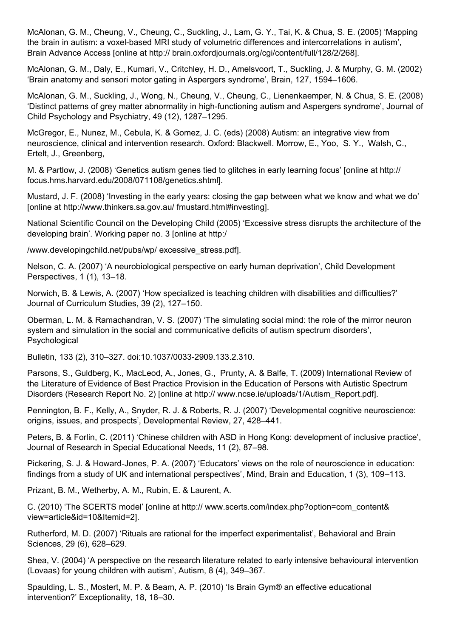McAlonan, G. M., Cheung, V., Cheung, C., Suckling, J., Lam, G. Y., Tai, K. & Chua, S. E. (2005) 'Mapping the brain in autism: a voxel-based MRI study of volumetric differences and intercorrelations in autism', Brain Advance Access [online at http:// brain.oxfordjournals.org/cgi/content/full/128/2/268].

McAlonan, G. M., Daly, E., Kumari, V., Critchley, H. D., Amelsvoort, T., Suckling, J. & Murphy, G. M. (2002) 'Brain anatomy and sensori motor gating in Aspergers syndrome', Brain, 127, 1594–1606.

McAlonan, G. M., Suckling, J., Wong, N., Cheung, V., Cheung, C., Lienenkaemper, N. & Chua, S. E. (2008) 'Distinct patterns of grey matter abnormality in high-functioning autism and Aspergers syndrome', Journal of Child Psychology and Psychiatry, 49 (12), 1287–1295.

McGregor, E., Nunez, M., Cebula, K. & Gomez, J. C. (eds) (2008) Autism: an integrative view from neuroscience, clinical and intervention research. Oxford: Blackwell. Morrow, E., Yoo, S. Y., Walsh, C., Ertelt, J., Greenberg,

M. & Partlow, J. (2008) 'Genetics autism genes tied to glitches in early learning focus' [online at http:// focus.hms.harvard.edu/2008/071108/genetics.shtml].

Mustard, J. F. (2008) 'Investing in the early years: closing the gap between what we know and what we do' [online at http://www.thinkers.sa.gov.au/ fmustard.html#investing].

National Scientific Council on the Developing Child (2005) 'Excessive stress disrupts the architecture of the developing brain'. Working paper no. 3 [online at http:/

/www.developingchild.net/pubs/wp/ excessive\_stress.pdf].

Nelson, C. A. (2007) 'A neurobiological perspective on early human deprivation', Child Development Perspectives, 1 (1), 13–18.

Norwich, B. & Lewis, A. (2007) 'How specialized is teaching children with disabilities and difficulties?' Journal of Curriculum Studies, 39 (2), 127–150.

Oberman, L. M. & Ramachandran, V. S. (2007) 'The simulating social mind: the role of the mirror neuron system and simulation in the social and communicative deficits of autism spectrum disorders', Psychological

Bulletin, 133 (2), 310–327. doi:10.1037/0033-2909.133.2.310.

Parsons, S., Guldberg, K., MacLeod, A., Jones, G., Prunty, A. & Balfe, T. (2009) International Review of the Literature of Evidence of Best Practice Provision in the Education of Persons with Autistic Spectrum Disorders (Research Report No. 2) [online at http:// www.ncse.ie/uploads/1/Autism\_Report.pdf].

Pennington, B. F., Kelly, A., Snyder, R. J. & Roberts, R. J. (2007) 'Developmental cognitive neuroscience: origins, issues, and prospects', Developmental Review, 27, 428–441.

Peters, B. & Forlin, C. (2011) 'Chinese children with ASD in Hong Kong: development of inclusive practice', Journal of Research in Special Educational Needs, 11 (2), 87–98.

Pickering, S. J. & Howard-Jones, P. A. (2007) 'Educators' views on the role of neuroscience in education: findings from a study of UK and international perspectives', Mind, Brain and Education, 1 (3), 109–113.

Prizant, B. M., Wetherby, A. M., Rubin, E. & Laurent, A.

C. (2010) 'The SCERTS model' [online at http:// www.scerts.com/index.php?option=com\_content& view=article&id=10&Itemid=2].

Rutherford, M. D. (2007) 'Rituals are rational for the imperfect experimentalist', Behavioral and Brain Sciences, 29 (6), 628–629.

Shea, V. (2004) 'A perspective on the research literature related to early intensive behavioural intervention (Lovaas) for young children with autism', Autism, 8 (4), 349–367.

Spaulding, L. S., Mostert, M. P. & Beam, A. P. (2010) 'Is Brain Gym® an effective educational intervention?' Exceptionality, 18, 18–30.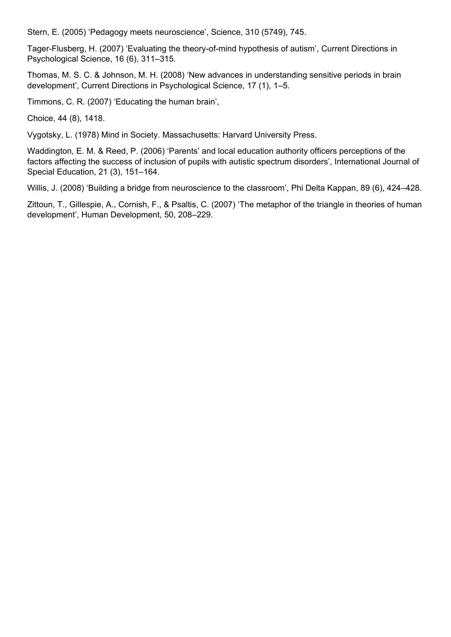Stern, E. (2005) 'Pedagogy meets neuroscience', Science, 310 (5749), 745.

Tager-Flusberg, H. (2007) 'Evaluating the theory-of-mind hypothesis of autism', Current Directions in Psychological Science, 16 (6), 311–315.

Thomas, M. S. C. & Johnson, M. H. (2008) 'New advances in understanding sensitive periods in brain development', Current Directions in Psychological Science, 17 (1), 1–5.

Timmons, C. R. (2007) 'Educating the human brain',

Choice, 44 (8), 1418.

Vygotsky, L. (1978) Mind in Society. Massachusetts: Harvard University Press.

Waddington, E. M. & Reed, P. (2006) 'Parents' and local education authority officers perceptions of the factors affecting the success of inclusion of pupils with autistic spectrum disorders', International Journal of Special Education, 21 (3), 151–164.

Willis, J. (2008) 'Building a bridge from neuroscience to the classroom', Phi Delta Kappan, 89 (6), 424–428.

Zittoun, T., Gillespie, A., Cornish, F., & Psaltis, C. (2007) 'The metaphor of the triangle in theories of human development', Human Development, 50, 208–229.